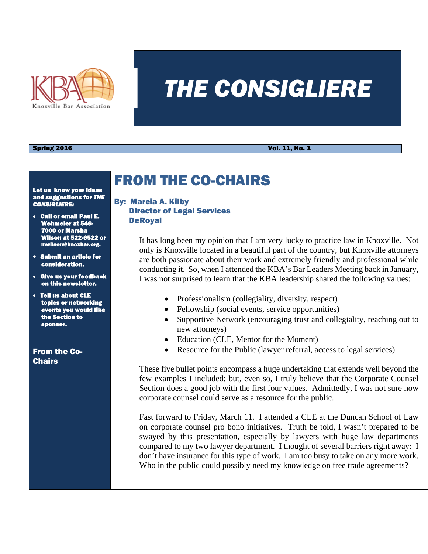

# *THE CONSIGLIERE*

**Spring 2016** Vol. 11, No. 1

Let us know your ideas and suggestions for *THE CONSIGLIERE:* 

- Call or email Paul E. Wehmeier at 546- 7000 or Marsha Wilson at 522-6522 or **@knoxbar.org.**
- Submit an article for consideration.
- Give us your feedback on this newsletter.
- Tell us about CLE topics or networ events you would like the Section to ponsor.

From the Co-Chairs

## FROM THE CO-CHAIRS

### By: Marcia A. Kilby Director of Legal Services DeRoyal

It has long been my opinion that I am very lucky to practice law in Knoxville. Not only is Knoxville located in a beautiful part of the country, but Knoxville attorneys are both passionate about their work and extremely friendly and professional while conducting it. So, when I attended the KBA's Bar Leaders Meeting back in January, I was not surprised to learn that the KBA leadership shared the following values:

- Professionalism (collegiality, diversity, respect)
- Fellowship (social events, service opportunities)
- Supportive Network (encouraging trust and collegiality, reaching out to new attorneys)
- Education (CLE, Mentor for the Moment)
- Resource for the Public (lawyer referral, access to legal services)

These five bullet points encompass a huge undertaking that extends well beyond the few examples I included; but, even so, I truly believe that the Corporate Counsel Section does a good job with the first four values. Admittedly, I was not sure how corporate counsel could serve as a resource for the public.

Fast forward to Friday, March 11. I attended a CLE at the Duncan School of Law on corporate counsel pro bono initiatives. Truth be told, I wasn't prepared to be swayed by this presentation, especially by lawyers with huge law departments compared to my two lawyer department. I thought of several barriers right away: I don't have insurance for this type of work. I am too busy to take on any more work. Who in the public could possibly need my knowledge on free trade agreements?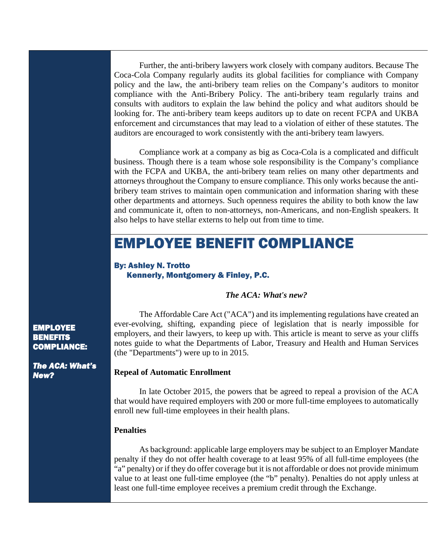Further, the anti-bribery lawyers work closely with company auditors. Because The Coca-Cola Company regularly audits its global facilities for compliance with Company policy and the law, the anti-bribery team relies on the Company's auditors to monitor compliance with the Anti-Bribery Policy. The anti-bribery team regularly trains and consults with auditors to explain the law behind the policy and what auditors should be looking for. The anti-bribery team keeps auditors up to date on recent FCPA and UKBA enforcement and circumstances that may lead to a violation of either of these statutes. The auditors are encouraged to work consistently with the anti-bribery team lawyers.

Compliance work at a company as big as Coca-Cola is a complicated and difficult business. Though there is a team whose sole responsibility is the Company's compliance with the FCPA and UKBA, the anti-bribery team relies on many other departments and attorneys throughout the Company to ensure compliance. This only works because the antibribery team strives to maintain open communication and information sharing with these other departments and attorneys. Such openness requires the ability to both know the law and communicate it, often to non-attorneys, non-Americans, and non-English speakers. It also helps to have stellar externs to help out from time to time.

## EMPLOYEE BENEFIT COMPLIANCE

By: Ashley N. Trotto Kennerly, Montgomery & Finley, P.C.

#### *The ACA: What's new?*

The Affordable Care Act ("ACA") and its implementing regulations have created an ever-evolving, shifting, expanding piece of legislation that is nearly impossible for employers, and their lawyers, to keep up with. This article is meant to serve as your cliffs notes guide to what the Departments of Labor, Treasury and Health and Human Services (the "Departments") were up to in 2015.

#### **Repeal of Automatic Enrollment**

In late October 2015, the powers that be agreed to repeal a provision of the ACA that would have required employers with 200 or more full-time employees to automatically enroll new full-time employees in their health plans.

#### **Penalties**

As background: applicable large employers may be subject to an Employer Mandate penalty if they do not offer health coverage to at least 95% of all full-time employees (the "a" penalty) or if they do offer coverage but it is not affordable or does not provide minimum value to at least one full-time employee (the "b" penalty). Penalties do not apply unless at least one full-time employee receives a premium credit through the Exchange.

**EMPLOYEE** BENEFITS COMPLIANCE:

*The ACA: What's New?*